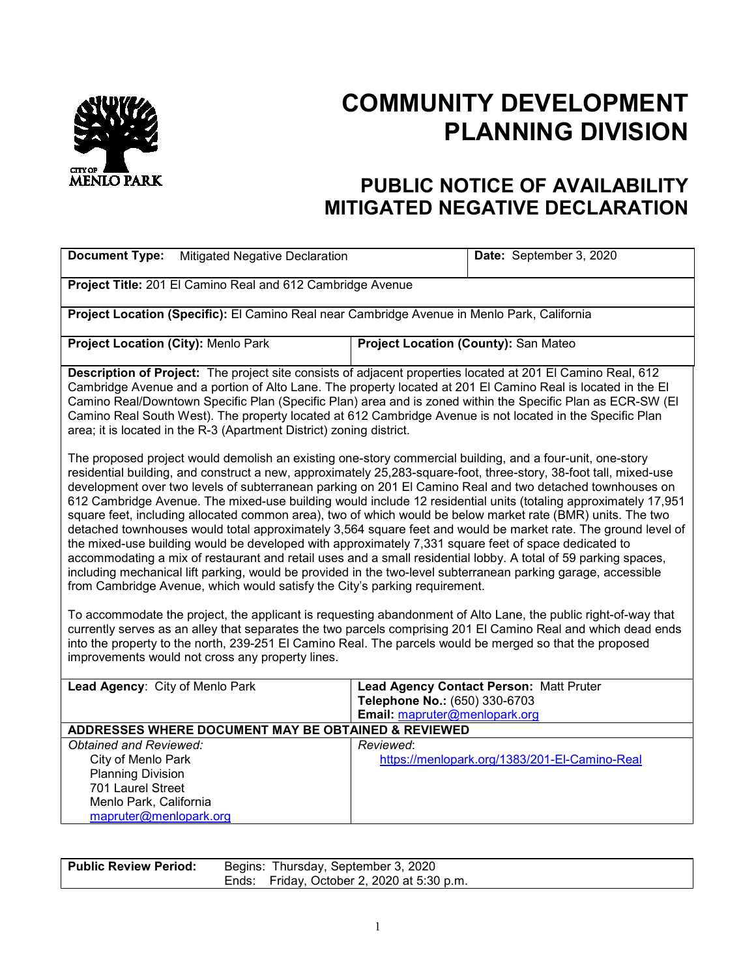

## **COMMUNITY DEVELOPMENT PLANNING DIVISION**

## **PUBLIC NOTICE OF AVAILABILITY MITIGATED NEGATIVE DECLARATION**

| <b>Document Type:</b><br><b>Mitigated Negative Declaration</b>                                                                                                                                                                                                                                                                                                                                                                                                                                                                                                                                                                                                                                                                                                                                                                                                                                                                                                                                                                                                                                                        |                                                                | Date: September 3, 2020                       |  |
|-----------------------------------------------------------------------------------------------------------------------------------------------------------------------------------------------------------------------------------------------------------------------------------------------------------------------------------------------------------------------------------------------------------------------------------------------------------------------------------------------------------------------------------------------------------------------------------------------------------------------------------------------------------------------------------------------------------------------------------------------------------------------------------------------------------------------------------------------------------------------------------------------------------------------------------------------------------------------------------------------------------------------------------------------------------------------------------------------------------------------|----------------------------------------------------------------|-----------------------------------------------|--|
| Project Title: 201 El Camino Real and 612 Cambridge Avenue                                                                                                                                                                                                                                                                                                                                                                                                                                                                                                                                                                                                                                                                                                                                                                                                                                                                                                                                                                                                                                                            |                                                                |                                               |  |
| Project Location (Specific): El Camino Real near Cambridge Avenue in Menlo Park, California                                                                                                                                                                                                                                                                                                                                                                                                                                                                                                                                                                                                                                                                                                                                                                                                                                                                                                                                                                                                                           |                                                                |                                               |  |
| Project Location (City): Menlo Park                                                                                                                                                                                                                                                                                                                                                                                                                                                                                                                                                                                                                                                                                                                                                                                                                                                                                                                                                                                                                                                                                   | Project Location (County): San Mateo                           |                                               |  |
| Description of Project: The project site consists of adjacent properties located at 201 El Camino Real, 612<br>Cambridge Avenue and a portion of Alto Lane. The property located at 201 El Camino Real is located in the El<br>Camino Real/Downtown Specific Plan (Specific Plan) area and is zoned within the Specific Plan as ECR-SW (El<br>Camino Real South West). The property located at 612 Cambridge Avenue is not located in the Specific Plan<br>area; it is located in the R-3 (Apartment District) zoning district.                                                                                                                                                                                                                                                                                                                                                                                                                                                                                                                                                                                       |                                                                |                                               |  |
| The proposed project would demolish an existing one-story commercial building, and a four-unit, one-story<br>residential building, and construct a new, approximately 25,283-square-foot, three-story, 38-foot tall, mixed-use<br>development over two levels of subterranean parking on 201 El Camino Real and two detached townhouses on<br>612 Cambridge Avenue. The mixed-use building would include 12 residential units (totaling approximately 17,951<br>square feet, including allocated common area), two of which would be below market rate (BMR) units. The two<br>detached townhouses would total approximately 3,564 square feet and would be market rate. The ground level of<br>the mixed-use building would be developed with approximately 7,331 square feet of space dedicated to<br>accommodating a mix of restaurant and retail uses and a small residential lobby. A total of 59 parking spaces,<br>including mechanical lift parking, would be provided in the two-level subterranean parking garage, accessible<br>from Cambridge Avenue, which would satisfy the City's parking requirement. |                                                                |                                               |  |
| To accommodate the project, the applicant is requesting abandonment of Alto Lane, the public right-of-way that<br>currently serves as an alley that separates the two parcels comprising 201 El Camino Real and which dead ends<br>into the property to the north, 239-251 El Camino Real. The parcels would be merged so that the proposed<br>improvements would not cross any property lines.                                                                                                                                                                                                                                                                                                                                                                                                                                                                                                                                                                                                                                                                                                                       |                                                                |                                               |  |
| Lead Agency: City of Menlo Park                                                                                                                                                                                                                                                                                                                                                                                                                                                                                                                                                                                                                                                                                                                                                                                                                                                                                                                                                                                                                                                                                       | Telephone No.: (650) 330-6703<br>Email: mapruter@menlopark.org | Lead Agency Contact Person: Matt Pruter       |  |
| ADDRESSES WHERE DOCUMENT MAY BE OBTAINED & REVIEWED                                                                                                                                                                                                                                                                                                                                                                                                                                                                                                                                                                                                                                                                                                                                                                                                                                                                                                                                                                                                                                                                   |                                                                |                                               |  |
| Obtained and Reviewed:                                                                                                                                                                                                                                                                                                                                                                                                                                                                                                                                                                                                                                                                                                                                                                                                                                                                                                                                                                                                                                                                                                | Reviewed:                                                      |                                               |  |
| City of Menlo Park                                                                                                                                                                                                                                                                                                                                                                                                                                                                                                                                                                                                                                                                                                                                                                                                                                                                                                                                                                                                                                                                                                    |                                                                | https://menlopark.org/1383/201-EI-Camino-Real |  |
| <b>Planning Division</b>                                                                                                                                                                                                                                                                                                                                                                                                                                                                                                                                                                                                                                                                                                                                                                                                                                                                                                                                                                                                                                                                                              |                                                                |                                               |  |
| 701 Laurel Street                                                                                                                                                                                                                                                                                                                                                                                                                                                                                                                                                                                                                                                                                                                                                                                                                                                                                                                                                                                                                                                                                                     |                                                                |                                               |  |
| Menlo Park, California                                                                                                                                                                                                                                                                                                                                                                                                                                                                                                                                                                                                                                                                                                                                                                                                                                                                                                                                                                                                                                                                                                |                                                                |                                               |  |
| mapruter@menlopark.org                                                                                                                                                                                                                                                                                                                                                                                                                                                                                                                                                                                                                                                                                                                                                                                                                                                                                                                                                                                                                                                                                                |                                                                |                                               |  |

| l Public Review Period: | Begins: Thursday, September 3, 2020        |
|-------------------------|--------------------------------------------|
|                         | Ends: Friday, October 2, 2020 at 5:30 p.m. |